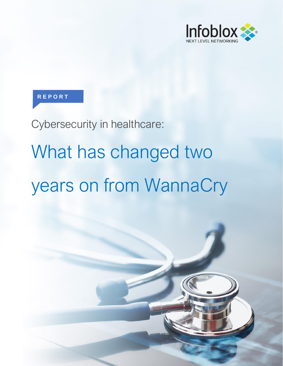

#### **R E P O R T**

Cybersecurity in healthcare:

# What has changed two years on from WannaCry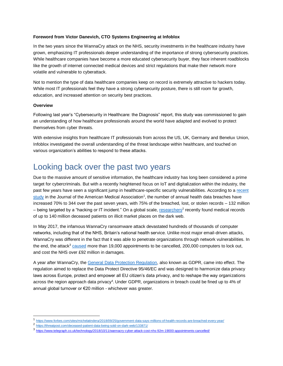#### **Foreword from Victor Danevich, CTO Systems Engineering at Infoblox**

In the two years since the WannaCry attack on the NHS, security investments in the healthcare industry have grown, emphasizing IT professionals deeper understanding of the importance of strong cybersecurity practices. While healthcare companies have become a more educated cybersecurity buyer, they face inherent roadblocks like the growth of internet connected medical devices and strict regulations that make their network more volatile and vulnerable to cyberattack.

Not to mention the type of data healthcare companies keep on record is extremely attractive to hackers today. While most IT professionals feel they have a strong cybersecurity posture, there is still room for growth, education, and increased attention on security best practices.

#### **Overview**

 $\overline{a}$ 

Following last year's "Cybersecurity in Healthcare: the Diagnosis" report, this study was commissioned to gain an understanding of how healthcare professionals around the world have adapted and evolved to protect themselves from cyber threats.

With extensive insights from healthcare IT professionals from across the US, UK, Germany and Benelux Union, Infoblox investigated the overall understanding of the threat landscape within healthcare, and touched on various organization's abilities to respond to these attacks.

#### Looking back over the past two years

Due to the massive amount of sensitive information, the healthcare industry has long been considered a prime target for cybercriminals. But with a recently heightened focus on IoT and digitalization within the industry, the past few years have seen a significant jump in healthcare-specific security vulnerabilities. According to a [recent](https://www.forbes.com/sites/michelatindera/2018/09/25/government-data-says-millions-of-health-records-are-breached-every-year/)  [study](https://www.forbes.com/sites/michelatindera/2018/09/25/government-data-says-millions-of-health-records-are-breached-every-year/) in the Journal of the American Medical Association<sup>1</sup>, the number of annual health data breaches have increased 70% to 344 over the past seven years, with 75% of the breached, lost, or stolen records – 132 million – being targeted by a "hacking or IT incident." On a global scale, [researchers](https://threatpost.com/deceased-patient-data-being-sold-on-dark-web/133871/)<sup>2</sup> recently found medical records of up to 140 million deceased patients on illicit market places on the dark web.

In May 2017, the infamous WannaCry ransomware attack devastated hundreds of thousands of computer networks, including that of the NHS, Britain's national health service. Unlike most major email-driven attacks, WannaCry was different in the fact that it was able to penetrate organizations through network vulnerabilities. In the end, the attack<sup>3</sup> [caused](https://www.telegraph.co.uk/technology/2018/10/11/wannacry-cyber-attack-cost-nhs-92m-19000-appointments-cancelled/) more than 19,000 appointments to be cancelled, 200,000 computers to lock out, and cost the NHS over £92 million in damages.

A year after WannaCry, th[e General Data Protection Regulation,](https://eugdpr.org/) also known as GDPR, came into effect. The regulation aimed to replace the Data Protect Directive 95/46/EC and was designed to harmonize data privacy laws across Europe, protect and empower all EU citizen's data privacy, and to reshape the way organizations across the region approach data privacy<sup>4</sup>. Under GDPR, organizations in breach could be fined up to 4% of annual global turnover or €20 million - whichever was greater.

<sup>1</sup> <https://www.forbes.com/sites/michelatindera/2018/09/25/government-data-says-millions-of-health-records-are-breached-every-year/>

<sup>2</sup> <https://threatpost.com/deceased-patient-data-being-sold-on-dark-web/133871/>

<sup>3</sup> <https://www.telegraph.co.uk/technology/2018/10/11/wannacry-cyber-attack-cost-nhs-92m-19000-appointments-cancelled/>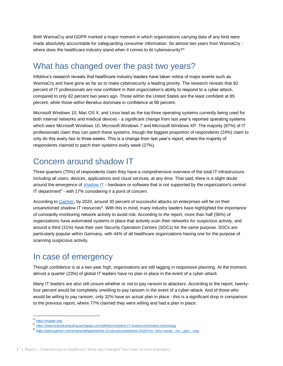Both WannaCry and GDPR marked a major moment in which organizations carrying data of any kind were made absolutely accountable for safeguarding consumer information. So almost two years from WannaCry where does the healthcare industry stand when it comes to its cybersecurity?<sup>4</sup>

#### What has changed over the past two years?

Infoblox's research reveals that healthcare industry leaders have taken notice of major events such as WannaCry and have gone as far as to make cybersecurity a leading priority. The research reveals that 92 percent of IT professionals are now confident in their organization's ability to respond to a cyber-attack, compared to only 82 percent two years ago. Those within the United States are the least confident at 85 percent, while those within Benelux dominate in confidence at 98 percent.

Microsoft Windows 10, Mac OS X, and Linux lead as the top three operating systems currently being used for both internal networks and medical devices - a significant change from last year's reported operating systems which were Microsoft Windows 10, Microsoft Windows 7 and Microsoft Windows XP. The majority (87%) of IT professionals claim they can patch these systems, though the biggest proportion of respondents (24%) claim to only do this every two to three weeks. This is a change from last year's report, where the majority of respondents claimed to patch their systems every week (27%).

#### Concern around shadow IT

Three quarters (75%) of respondents claim they have a comprehensive overview of the total IT infrastructure, including all users, devices, applications and cloud services, at any time. That said, there is a slight doubt around the emergence of [shadow IT](https://searchcloudcomputing.techtarget.com/definition/shadow-IT-shadow-information-technology) - hardware or software that is not supported by the organization's central IT department<sup>5</sup> - with 17% considering it a point of concern.

According to [Gartner,](https://www.gartner.com/smarterwithgartner/top-10-security-predictions-2016/?cm_mmc=social-_-rm-_-gart-_-swg) by 2020, around 30 percent of successful attacks on enterprises will be on their unsanctioned shadow IT resources<sup>6</sup>. With this in mind, many industry leaders have highlighted the importance of constantly monitoring network activity to avoid risk. According to the report, more than half (56%) of organizations have automated systems in place that actively scan their networks for suspicious activity, and around a third (31%) have their own Security Operation Centers (SOCs) for the same purpose. SOCs are particularly popular within Germany, with 44% of all healthcare organizations having one for the purpose of scanning suspicious activity.

## In case of emergency

Though confidence is at a two-year high, organisations are still lagging in responsive planning. At the moment, almost a quarter (23%) of global IT leaders have no plan in place in the event of a cyber-attack.

Many IT leaders are also still unsure whether or not to pay ransom to attackers. According to the report, twentyfour percent would be completely unwilling to pay ransom in the event of a cyber-attack. And of those who would be willing to pay ransom, only 32% have an actual plan in place - this is a significant drop in comparison to the previous report, where 77% claimed they were willing and had a plan in place.

 $\overline{a}$ 

<sup>4</sup> <https://eugdpr.org/>

<sup>5</sup> <https://searchcloudcomputing.techtarget.com/definition/shadow-IT-shadow-information-technology>

<sup>6</sup> [https://www.gartner.com/smarterwithgartner/top-10-security-predictions-2016/?cm\\_mmc=social-\\_-rm-\\_-gart-\\_-swg](https://www.gartner.com/smarterwithgartner/top-10-security-predictions-2016/?cm_mmc=social-_-rm-_-gart-_-swg)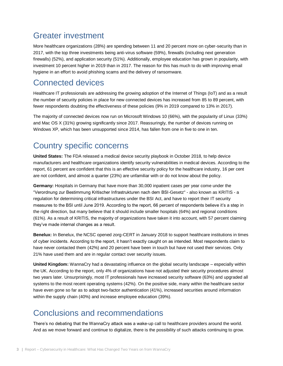#### Greater investment

More healthcare organizations (28%) are spending between 11 and 20 percent more on cyber-security than in 2017, with the top three investments being anti-virus software (59%), firewalls (including next generation firewalls) (52%), and application security (51%). Additionally, employee education has grown in popularity, with investment 10 percent higher in 2019 than in 2017. The reason for this has much to do with improving email hygiene in an effort to avoid phishing scams and the delivery of ransomware.

#### Connected devices

Healthcare IT professionals are addressing the growing adoption of the Internet of Things (IoT) and as a result the number of security policies in place for new connected devices has increased from 85 to 89 percent, with fewer respondents doubting the effectiveness of these policies (9% in 2019 compared to 13% in 2017).

The majority of connected devices now run on Microsoft Windows 10 (66%), with the popularity of Linux (33%) and Mac OS X (31%) growing significantly since 2017. Reassuringly, the number of devices running on Windows XP, which has been unsupported since 2014, has fallen from one in five to one in ten.

## Country specific concerns

**United States:** The FDA released a medical device security playbook in October 2018, to help device manufacturers and healthcare organizations identify security vulnerabilities in medical devices. According to the report, 61 percent are confident that this is an effective security policy for the healthcare industry, 16 per cent are not confident, and almost a quarter (23%) are unfamiliar with or do not know about the policy.

**Germany:** Hospitals in Germany that have more than 30,000 inpatient cases per year come under the "Verordnung zur Bestimmung Kritischer Infrastrukturen nach dem BSI-Gesetz" - also known as KRITIS - a regulation for determining critical infrastructures under the BSI Act, and have to report their IT security measures to the BSI until June 2019. According to the report, 66 percent of respondents believe it's a step in the right direction, but many believe that it should include smaller hospitals (64%) and regional conditions (61%). As a result of KRITIS, the majority of organizations have taken it into account, with 57 percent claiming they've made internal changes as a result.

**Benelux:** In Benelux, the NCSC opened zorg-CERT in January 2018 to support healthcare institutions in times of cyber incidents. According to the report, it hasn't exactly caught on as intended. Most respondents claim to have never contacted them (42%) and 20 percent have been in touch but have not used their services. Only 21% have used them and are in regular contact over security issues.

**United Kingdom:** WannaCry had a devastating influence on the global security landscape – especially within the UK. According to the report, only 4% of organizations have not adjusted their security procedures almost two years later. Unsurprisingly, most IT professionals have increased security software (63%) and upgraded all systems to the most recent operating systems (42%). On the positive side, many within the healthcare sector have even gone so far as to adopt two-factor authentication (41%), increased securities around information within the supply chain (40%) and increase employee education (39%).

## Conclusions and recommendations

There's no debating that the WannaCry attack was a wake-up call to healthcare providers around the world. And as we move forward and continue to digitalize, there is the possibility of such attacks continuing to grow.